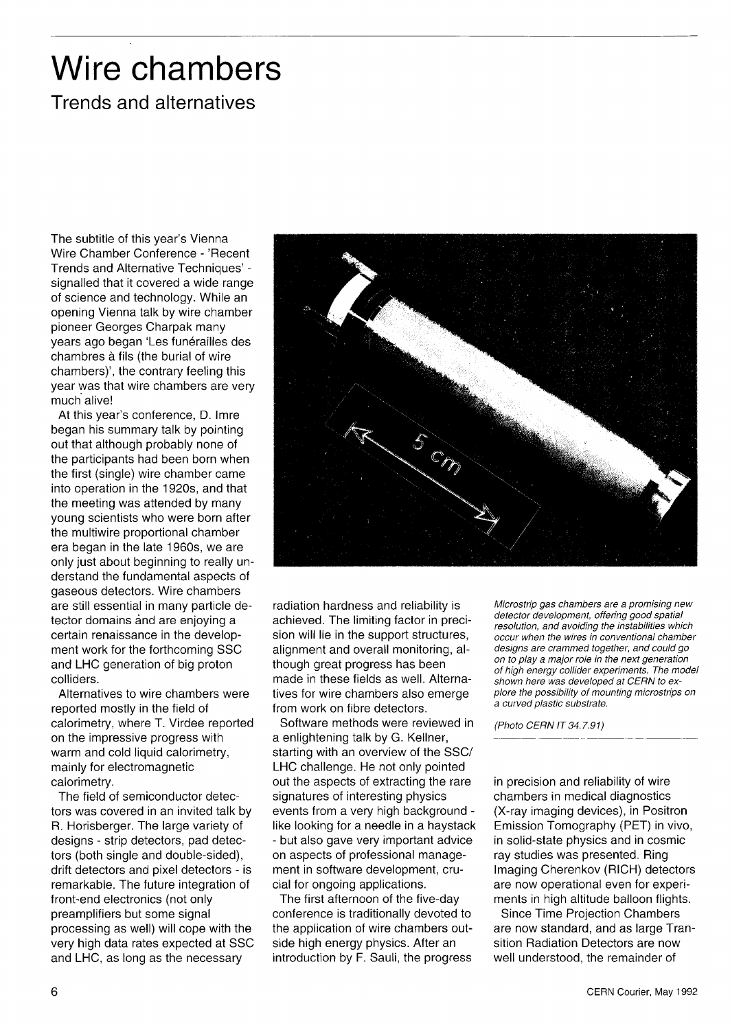## Wire chambers

### Trends and alternatives

The subtitle of this year's Vienna Wire Chamber Conference - 'Recent Trends and Alternative Techniques' signalled that it covered a wide range of science and technology. While an opening Vienna talk by wire chamber pioneer Georges Charpak many years ago began 'Les funérailles des chambres à fils (the burial of wire chambers)', the contrary feeling this year was that wire chambers are very much alive!

At this year's conference, D. Imre began his summary talk by pointing out that although probably none of the participants had been born when the first (single) wire chamber came into operation in the 1920s, and that the meeting was attended by many young scientists who were born after the multiwire proportional chamber era began in the late 1960s, we are only just about beginning to really understand the fundamental aspects of gaseous detectors. Wire chambers are still essential in many particle detector domains and are enjoying a certain renaissance in the development work for the forthcoming SSC and LHC generation of big proton colliders.

Alternatives to wire chambers were reported mostly in the field of calorimetry, where T. Virdee reported on the impressive progress with warm and cold liquid calorimetry, mainly for electromagnetic calorimetry.

The field of semiconductor detectors was covered in an invited talk by R. Horisberger. The large variety of designs - strip detectors, pad detectors (both single and double-sided), drift detectors and pixel detectors - is remarkable. The future integration of front-end electronics (not only preamplifiers but some signal processing as well) will cope with the very high data rates expected at SSC and LHC, as long as the necessary



radiation hardness and reliability is achieved. The limiting factor in precision will lie in the support structures, alignment and overall monitoring, although great progress has been made in these fields as well. Alternatives for wire chambers also emerge from work on fibre detectors.

Software methods were reviewed in a enlightening talk by G. Kellner, starting with an overview of the SSC/ LHC challenge. He not only pointed out the aspects of extracting the rare signatures of interesting physics events from a very high background like looking for a needle in a haystack - but also gave very important advice on aspects of professional management in software development, crucial for ongoing applications.

The first afternoon of the five-day conference is traditionally devoted to the application of wire chambers outside high energy physics. After an introduction by F. Sauli, the progress

*Microstrip gas chambers are a promising new detector development, offering good spatial resolution, and avoiding the instabilities which occur when the wires in conventional chamber designs are crammed together, and could go on to play a major role in the next generation of high energy collider experiments. The model shown here was developed at CERN to explore the possibility of mounting microstrips on a curved plastic substrate.* 

*(Photo CERN IT34.7.91)* 

in precision and reliability of wire chambers in medical diagnostics (X-ray imaging devices), in Positron Emission Tomography (PET) in vivo, in solid-state physics and in cosmic ray studies was presented. Ring Imaging Cherenkov (RICH) detectors are now operational even for experiments in high altitude balloon flights.

Since Time Projection Chambers are now standard, and as large Transition Radiation Detectors are now well understood, the remainder of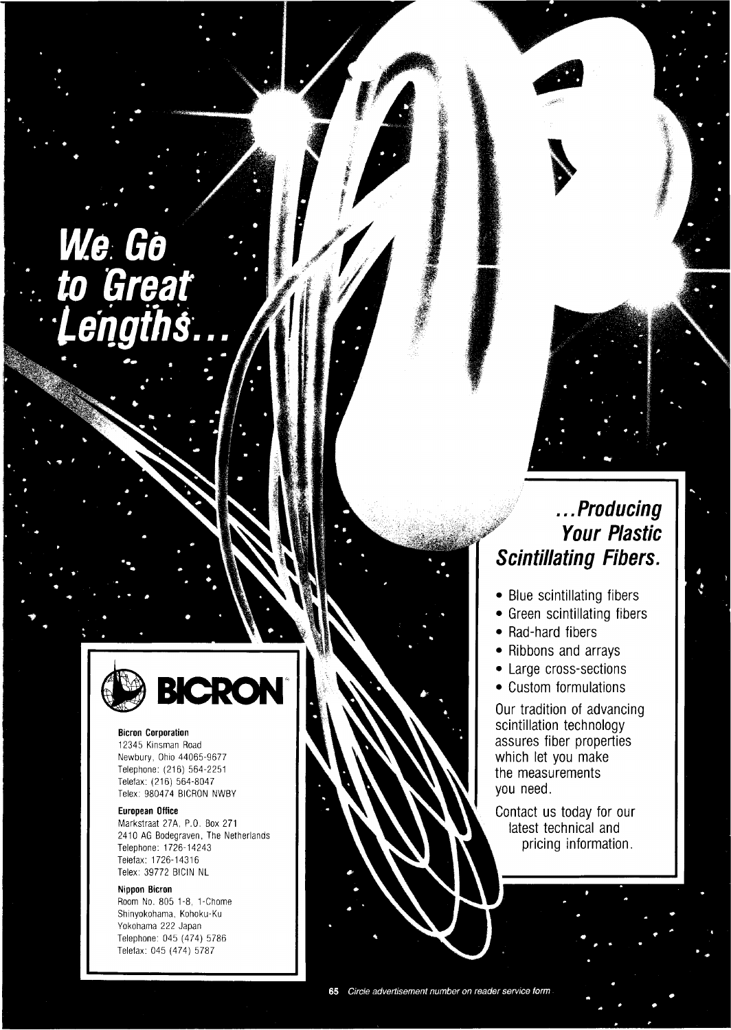# *We Go to Great Lengths...*



#### **Bicron Corporation**

12345 Kinsman Road Newbury, Ohio 44065-9677 Telephone: (216) 564-2251 Telefax: (216) 564-8047 Telex: 980474 BICRON NWBY

#### **European Office**

Markstraat 27A, P.O. Box 271 2410 AG Bodegraven, The Netherlands Telephone: 1726-14243 Telefax: 1726-14316 Telex: 39772 BICIN NL

#### **Nippon Bicron**

Room No. 805 1-8, 1-Chome Shinyokohama, Kohoku-Ku Yokohama 222 Japan Telephone: 045 (474) 5786 Telefax: 045 (474) 5787

## *...Producing Your Plastic Scintillating Fibers.*

- Blue scintillating fibers
- Green scintillating fibers
- Rad-hard fibers
- Ribbons and arrays
- Large cross-sections
- Custom formulations

Our tradition of advancing scintillation technology assures fiber properties which let you make the measurements you need.

Contact us today for our latest technical and pricing information.